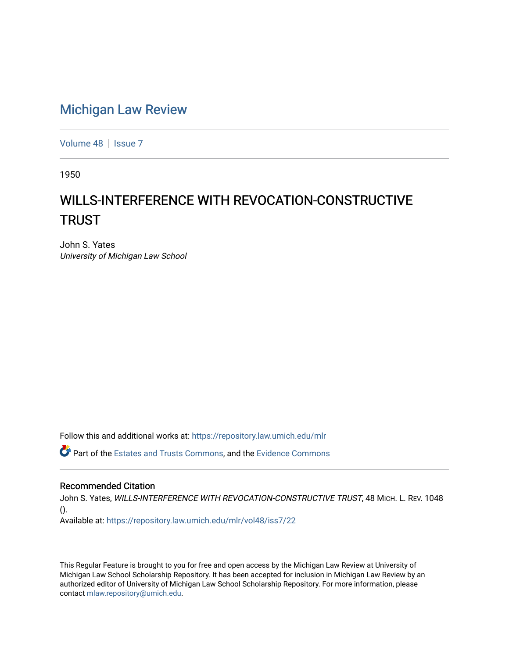## [Michigan Law Review](https://repository.law.umich.edu/mlr)

[Volume 48](https://repository.law.umich.edu/mlr/vol48) | [Issue 7](https://repository.law.umich.edu/mlr/vol48/iss7)

1950

## WILLS-INTERFERENCE WITH REVOCATION-CONSTRUCTIVE **TRUST**

John S. Yates University of Michigan Law School

Follow this and additional works at: [https://repository.law.umich.edu/mlr](https://repository.law.umich.edu/mlr?utm_source=repository.law.umich.edu%2Fmlr%2Fvol48%2Fiss7%2F22&utm_medium=PDF&utm_campaign=PDFCoverPages) 

Part of the [Estates and Trusts Commons,](http://network.bepress.com/hgg/discipline/906?utm_source=repository.law.umich.edu%2Fmlr%2Fvol48%2Fiss7%2F22&utm_medium=PDF&utm_campaign=PDFCoverPages) and the [Evidence Commons](http://network.bepress.com/hgg/discipline/601?utm_source=repository.law.umich.edu%2Fmlr%2Fvol48%2Fiss7%2F22&utm_medium=PDF&utm_campaign=PDFCoverPages)

## Recommended Citation

John S. Yates, WILLS-INTERFERENCE WITH REVOCATION-CONSTRUCTIVE TRUST, 48 MICH. L. REV. 1048 ().

Available at: [https://repository.law.umich.edu/mlr/vol48/iss7/22](https://repository.law.umich.edu/mlr/vol48/iss7/22?utm_source=repository.law.umich.edu%2Fmlr%2Fvol48%2Fiss7%2F22&utm_medium=PDF&utm_campaign=PDFCoverPages) 

This Regular Feature is brought to you for free and open access by the Michigan Law Review at University of Michigan Law School Scholarship Repository. It has been accepted for inclusion in Michigan Law Review by an authorized editor of University of Michigan Law School Scholarship Repository. For more information, please contact [mlaw.repository@umich.edu](mailto:mlaw.repository@umich.edu).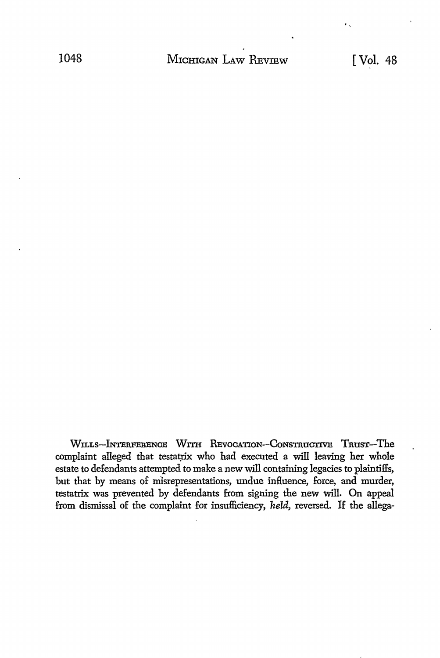WILLS-INTERFERENCE WITH REVOCATION-CONSTRUCTIVE TRUST-The complaint alleged that testatrix who had executed a will leaving her whole estate to defendants attempted to make a new will containing legacies to plaintiffs, but that by means of misrepresentations, undue influence, force, and murder, testatrix was prevented by defendants from signing the new will. On appeal from dismissal of the complaint for insufficiency, held, reversed. If the allega-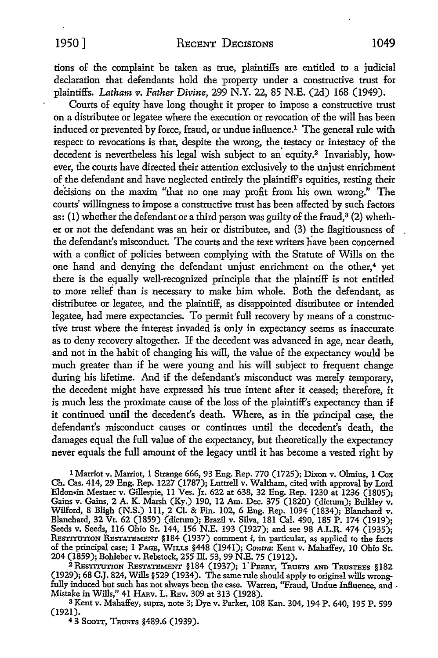tions of the complaint be taken as true, plaintiffs are entitled to a judicial declaration that defendants hold the property under a constructive trust for plaintiffs. *Latham v. Father Divine,* 299 N.Y. 22, 85 N.E. (2d) 168 (1949).

Courts of equity have long thought it proper to impose a constructive trust on a distributee or legatee where the execution or revocation of the will has been induced or prevented by force, fraud, or undue inHuence.1 The general rule with respect to revocations is that, despite the wrong, the testacy or intestacy of the decedent is nevertheless his legal wish subject to an equity.<sup>2</sup> Invariably, however, the courts have directed their attention exclusively to the unjust enrichment of the defendant and have neglected entirely the plaintiff's equities, resting their decisions on the maxim "that no one may profit from his own wrong." The courts' willingness to impose a constructive trust has been affected by such factors as: (1) whether the defendant or a third person was guilty of the fraud, $3(2)$  whether or not the defendant was an heir or distributee, and (3) the Hagitiousness of the defendant's misconduct. The courts and the text writers have been concerned with a conflict of policies between complying with the Statute of Wills on the one hand and denying the defendant unjust enrichment on the other,<sup>4</sup> yet there is the equally well-recognized principle that the plaintiff is not entitled to more relief than is necessary to make him whole. Both the defendant, as distributee or legatee, and the plaintiff, as disappointed distributee or intended legatee, had mere expectancies. To permit full recovery by means of a constructive trust where the interest invaded is only in expectancy seems as inaccurate as to deny recovery altogether. If the decedent was advanced in age, near death, and not in the habit of changing his will, the value of the expectancy would be much greater than if he were young and his will subject to frequent change during his lifetime. And if the defendant's misconduct was merely temporary, the decedent might have expressed his true intent after it ceased; therefore, it is much less the proximate cause of the loss of the plaintiff's expectancy than if it continued until the decedent's death. Where, as in the principal case, the defendant's misconduct causes or continues until the decedent's death, the damages equal the full value of the expectancy, but theoretically the expectancy never equals the full amount of the legacy until it has become a vested right by

l Marriot v. Marriot, I Strange 666, 93 Eng. Rep. 770 (I 725); Dixon v. Olmius, I Cox Ch. Cas. 414, 29 Eng. Rep. 1227 (1787); Luttrell v. Waltham, cited with approval by Lord Eldon•in Mestaer v. Gillespie, 11 Ves. Jr. 622 at 638, 32 Eng. Rep. 1230 at 1236 (1805); Gains v. Gains, 2 A. K. Marsh (Ky.) 190, 12 Am. Dec. 375 (1820) (dictum); Bulkley v. Wilford, 8 Bligh (N.S.) Ill, 2 Cl. & Fin. 102, 6 Eng. Rep. 1094 (1834); Blanchard v. Blanchard, 32 Vt. 62 (1859) (dictum); Brazil v. Silva, 181 Cal. 490, 185 P. 174 (1919); Seeds v. Seeds, 116 Ohio St. 144, 156 N.E. 193 (1927); and see 98 A.L.R. 474 (1935); RESTITUTION RESTATEMENT §184 (1937) comment *i*, in particular, as applied to the facts of the principal case; I PAGB, WILLS §448 (1941); *Contra:* Kent v. Mahaffey, 10 Ohio St. 204 (1859); Bohleber v. Rebstock, 255 ill. 53, 99 N.E. 75 (1912).

<sup>2</sup> Restitution Restatement §184 (1937); 1 Perry, Trusts and Trustees §182 (1929); 68 C.J. 824, Wills §529 (1934). The same rule should apply to original wills wrongfully induced but such has not always been the case. Warren, "Fraud, Undue Influence, and . Mistake in Wills," 41 HARv. L. RBv. 309 at 313 (1928).

<sup>3</sup>Kent v. Mahaffey, supra, note 3; Dye v. Parker, 108 Kan. 304, 194 P. 640, 195 P. 599 (1921).

4 3 Scon, TRusTs §489.6 (1939).